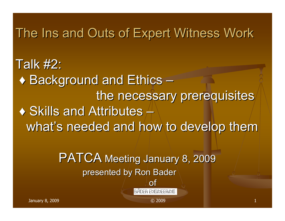#### The Ins and Outs of Expert Witness Work

Talk  $#2$ :  $\blacklozenge$  Background and Ethics – the necessary prerequisites  $\blacklozenge$  Skills and Attributes  $+$ what's needed and how to develop them

> PATCA Meeting January 8, 2009 presented by Ron Bader

> > of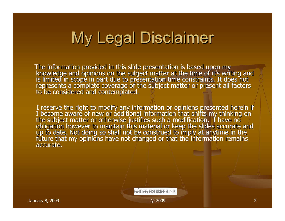# **My Legal Disclaimer**

The information provided in this slide presentation is based upon my<br>knowledge and opinions on the subject matter at the time of it's writing and<br>is limited in scope in part due to presentation time constraints. It does n

I reserve the right to modify any information or opinions presented herein if I become aware of new or additional information that shifts my thinking on the subject matter or otherwise justifies such a modification. I have accurate.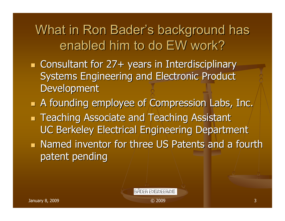#### What in Ron Bader's background has enabled him to do EW work?

- a l ■ Consultant for 27+ years in Interdisciplinary Systems Engineering and Electronic Product Development
- a l A founding employee of Compression Labs, Inc. A founding employee of Compression Labs, Inc.
- a l **Teaching Associate and Teaching Assistant** UC Berkeley Electrical Engineering Department
- **Named inventor for three US Patents and a fourth Named inventor for three US Patents and a fourth** patent pending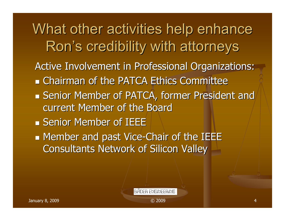What other activities help enhance Ron's credibility with attorneys Active Involvement in Professional Organizations: **Example 23 Chairman of the PATCA Ethics Committee**  $\blacksquare$  Senior Member of PATCA, former President and current Member of the Board **Senior Member of IEEE**  $\mathbb{R}^n$ **Member and past Vice-Chair of the IEEE** Consultants Network of Silicon Valley Consultants Network of Silicon Valley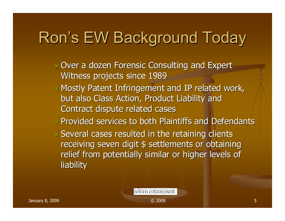# Ron's EW Background Today

- $\Box$  Over a dozen Forensic Consulting and Expert Witness projects since 1989
- **Nostly Patent Infringement and IP related work,** but also Class Action, Product Liability and Contract dispute related cases
- Provided services to both Plaintiffs and Defendants Provided services to both Plaintiffs and Defendants

**BADER ENGINEERING** 

 $\Box$  Several cases resulted in the retaining clients receiving seven digit \$ settlements or obtaining relief from potentially similar or higher levels of liability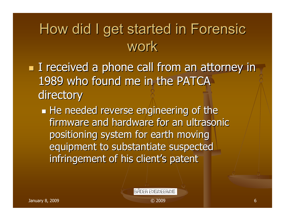### How did I get started in Forensic work

- **I** received a phone call from an attorney in 1989 who found me in the PATCA directory
	- $\mathbb{R}^n$  $\blacksquare$  He needed reverse engineering of the firmware and hardware for an ultrasonic positioning system for earth moving equipment to substantiate suspected infringement of his client's patent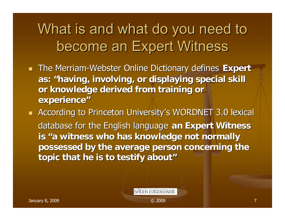### What is and what do you need to become an Expert Witness

- **The Merriam-Webster Online Dictionary defines Expert as: "having, involving, or displaying special skill having, involving, or displaying special skill**  or knowledge derived from training or **experience experience"**
- $\blacksquare$  According to Princeton University's WORDNET 3.0 lexical database for the English language database for the English language **an Expert Witness an Expert Witness**  is "a witness who has knowledge not normally **possessed by the average person concerning the possessed by the average person concerning the topic that he is to testify about"**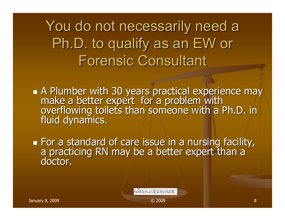You do not necessarily need a Ph.D. to qualify as an EW or **Forensic Consultant** 

A Plumber with 30 years practical experience may make a better expert for a problem with<br>overflowing toilets than someone with a Ph.D. in<br>fluid dynamics.

 $\mathbb{R}^n$ For a standard of care issue in a nursing facility,<br>a practicing RN may be a better expert than a doctor.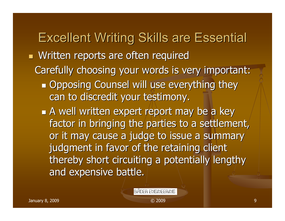#### **Excellent Writing Skills are Essential**

- a l **Nritten reports are often required** 
	- Carefully choosing your words is very important:
		- $\mathbb{R}^n$ **Opposing Counsel will use everything they** can to discredit your testimony.
		- **A** well written expert report may be a key factor in bringing the parties to a settlement, or it may cause a judge to issue a summary judgment in favor of the retaining client thereby short circuiting a potentially lengthy and expensive battle.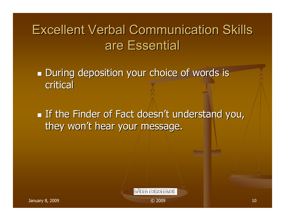#### Excellent Verbal Communication Skills Excellent Verbal Communication Skills are Essential

 $\mathbb{R}^n$ **During deposition your choice of words is** critical

 $\mathbb{R}^n$ If the Finder of Fact doesn't understand you, they won't hear your message.

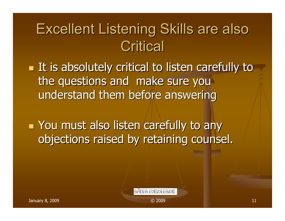# **Excellent Listening Skills are also Critical**

 $\blacksquare$  It is absolutely critical to listen carefully to  $\blacksquare$ the questions and make sure you understand them before answering

 $\blacksquare$  You must also listen/carefully to any objections raised by retaining counsel.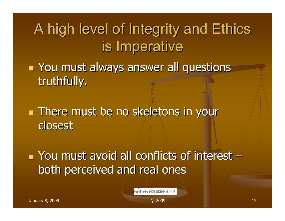# A high level of Integrity and Ethics is Imperative

**Nou must always answer all questions** truthfully.

**There must be no skeletons in your** closest

 $\blacksquare$  You must avoid all conflicts of interest  $\pm$ both perceived and real ones

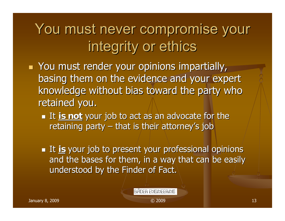You must never compromise your integrity or ethics

- a l  $\blacksquare$  You must render your opinions impartially, basing them on the evidence and your expert knowledge without bias toward the party who retained you.
	- **It is not** your job to act as an advocate for the retaining party  $-$  that is their attorney's job
	- **It is** your job to present your professional opinions and the bases for them, in a way that can be easily understood by the Finder of Fact.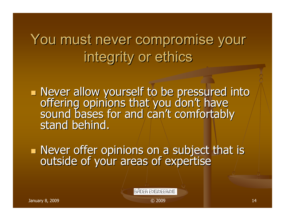### You must never compromise your integrity or ethics

Never allow yourself to be pressured into<br>offering opinions that you don't have<br>sound bases for and can't comfortably sound bases for and can't comfortably<br>stand behind.

■ Never offer opinions on a subject that is outside of your areas of expertise

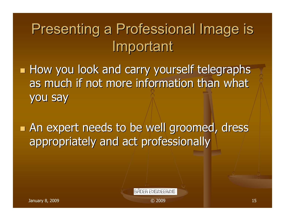# Presenting a Professional Image is Important

- How you look and carry yourself telegraphs as much if not more information than what you say
- **An expert needs to be well groomed, dress** appropriately and act professionally

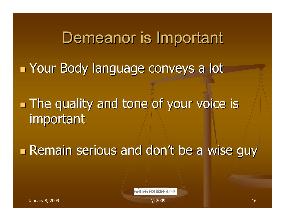Demeanor is Important

**Example 23 Your Body language conveys a lot** 

**The quality and tone of your voice is** important

**Remain serious and don't be a wise guy**  $\blacksquare$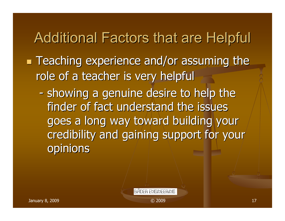### Additional Factors that are Helpful

**Teaching experience and/or assuming the** role of a teacher is very helpful

-- showing a genuine desire to help the finder of fact understand the issues goes a long way toward building your credibility and gaining support for your opinions

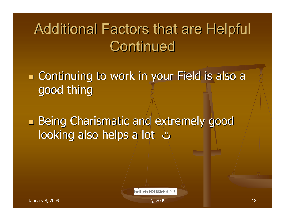# Additional Factors that are Helpful Continued

**Example 20 In 2018 Continuing to work in your Field is also a** good thing

**Service Service Being Charismatic and extremely good Being Charismatic and extremely good** looking also helps a lot looking also helps a lot ٿ

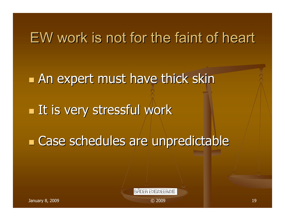#### EW work is not for the faint of heart

 $\blacksquare$  An expert must have thick skin  $\blacksquare$  It is very stressful work **Ease schedules are unpredictable**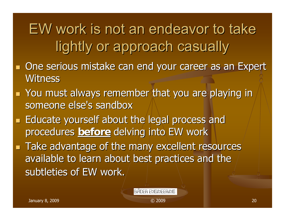EW work is not an endeavor to take lightly or approach casually

- a l One serious mistake can end your career as an Expert one serious mistake can end your career as an Expert Witness
- a l  $\blacksquare$  You must always remember that you are playing in someone else's sandbox
- a l **Educate yourself about the legal process and Legal process and Legal process** procedures **before** delving into EW work
- a l **Take advantage of the many excellent resources** available to learn about best practices and the subtleties of EW work.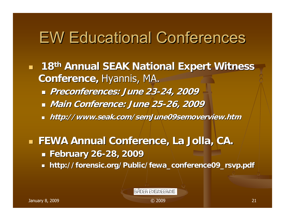### **EW Educational Conferences**

- a l **18th Annual SEAK National Expert Witness Conference, Hyannis, MA.** 
	- **Preconferences: June 23 Preconferences: June 23-24, 2009 24, 2009**
	- **Main Conference: June 25 Main Conference: June 25-26, 2009 26, 2009**
	- **http://www.seak.com/semJune09semoverview.htm**

 **FEWA Annual Conference, La Jolla, CA. FEWA Annual Conference, La Jolla, CA. February 26 February 26-28, 2009 28, 2009** L. **http://forensic.org/Public/fewa\_conference09\_rsvp.pdf http://forensic.org/Public/fewa\_conference09\_rsvp.pdf**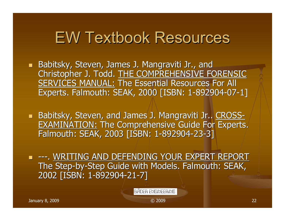### EW Textbook Resources EW Textbook Resources

- **Babitsky, Steven, James J. Mangraviti Jr., and Babitsky, Steven, James J. Mangraviti Jr., and J.** Christopher J. Todd. THE COMPREHENSIVE FORENSIC SERVICES MANUAL: The Essential Resources For All Experts. Falmouth: SEAK, 2000 [ISBN: 1-892904-07-1]
- **Babitsky, Steven, and James J. Mangraviti Jr.. CROSS-**EXAMINATION: The Comprehensive Guide For Experts. Falmouth: SEAK, 2003 [ISBN: 1 Falmouth: SEAK, 2003 [ISBN: 1-892904-23-3]
- ---. WRITING AND DEFENDING YOUR EXPERT REPORT WRITING AND DEFENDING YOUR EXPERT REPORT The Step-by-Step Guide with Models. Falmouth: SEAK, 2002 [ISBN: 1-892904-21-7]